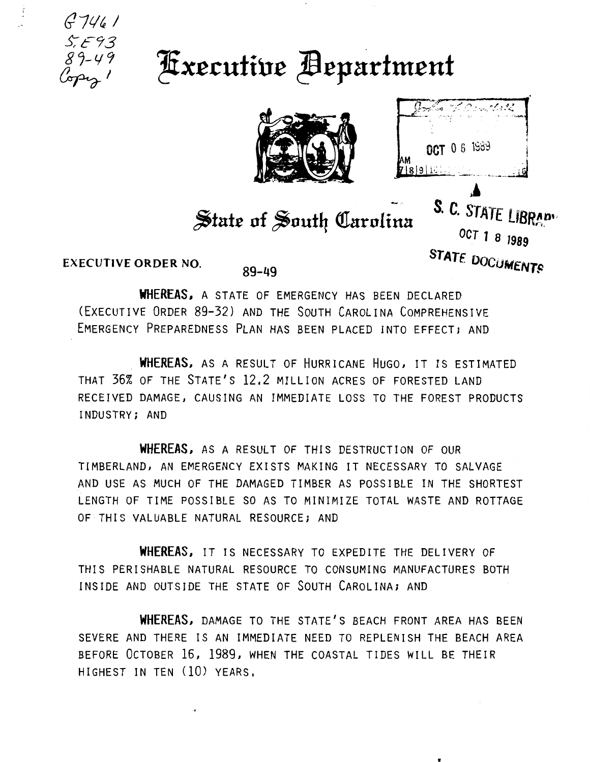

## **Fxecutive Bepartment**



| OCT 0 6 1989 |
|--------------|
| 7 8 9 10     |

S. C. STATE LIBRADY

OCT 1 8 1989

STATE DOCUMENTS

## State of South Carolina

**EXECUTIVE ORDER NO.** 

 $89 - 49$ 

WHEREAS, A STATE OF EMERGENCY HAS BEEN DECLARED (EXECUTIVE ORDER 89-32) AND THE SOUTH CAROLINA COMPREHENSIVE EMERGENCY PREPAREDNESS PLAN HAS BEEN PLACED INTO EFFECT; AND

WHEREAS, AS A RESULT OF HURRICANE HUGO, IT IS ESTIMATED THAT 36% OF THE STATE'S 12.2 MILLION ACRES OF FORESTED LAND RECEIVED DAMAGE, CAUSING AN IMMEDIATE LOSS TO THE FOREST PRODUCTS INDUSTRY; AND

**WHEREAS, AS A RESULT OF THIS DESTRUCTION OF OUR** TIMBERLAND, AN EMERGENCY EXISTS MAKING IT NECESSARY TO SALVAGE AND USE AS MUCH OF THE DAMAGED TIMBER AS POSSIBLE IN THE SHORTEST LENGTH OF TIME POSSIBLE SO AS TO MINIMIZE TOTAL WASTE AND ROTTAGE OF THIS VALUABLE NATURAL RESOURCE; AND

WHEREAS, IT IS NECESSARY TO EXPEDITE THE DELIVERY OF THIS PERISHABLE NATURAL RESOURCE TO CONSUMING MANUFACTURES BOTH INSIDE AND OUTSIDE THE STATE OF SOUTH CAROLINA; AND

WHEREAS, DAMAGE TO THE STATE'S BEACH FRONT AREA HAS BEEN SEVERE AND THERE IS AN IMMEDIATE NEED TO REPLENISH THE BEACH AREA BEFORE OCTOBER 16, 1989, WHEN THE COASTAL TIDES WILL BE THEIR HIGHEST IN TEN (10) YEARS.